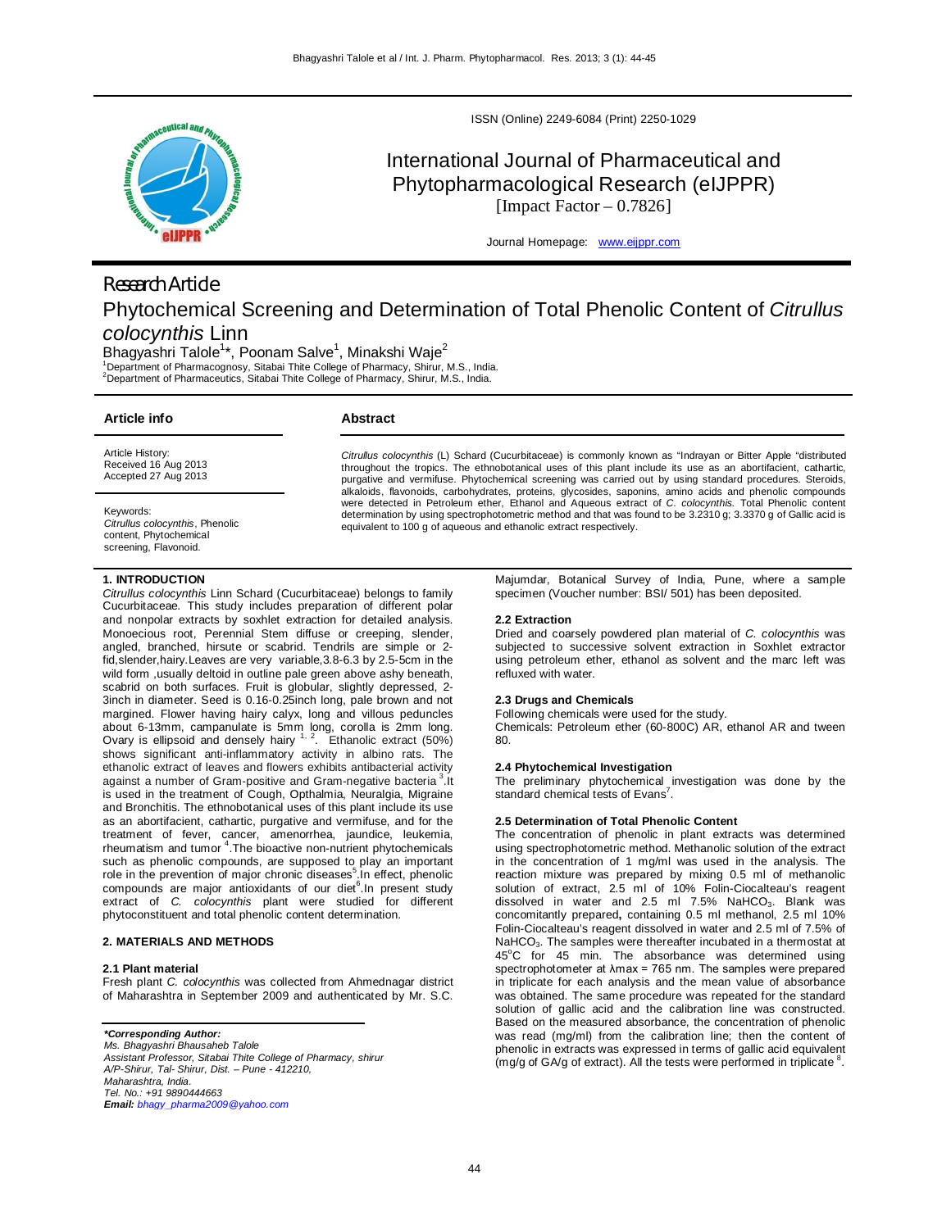

ISSN (Online) 2249-6084 (Print) 2250-1029

# International Journal of Pharmaceutical and Phytopharmacological Research (eIJPPR) [Impact Factor  $-0.7826$ ]

Journal Homepage: www.eijppr.com

# *Research Article* Phytochemical Screening and Determination of Total Phenolic Content of *Citrullus colocynthis* Linn

Bhagyashri Talole $^{1\star}$ , Poonam Salve $^{1}$ , Minakshi Waje $^{2}$ 

<sup>1</sup>Department of Pharmacognosy, Sitabai Thite College of Pharmacy, Shirur, M.S., India. <sup>2</sup>Department of Pharmaceutics, Sitabai Thite College of Pharmacy, Shirur, M.S., India.

| Article info                                                                                    | Abstract                                                                                                                                                                                                                                                                                                                                                                                                                                              |  |  |
|-------------------------------------------------------------------------------------------------|-------------------------------------------------------------------------------------------------------------------------------------------------------------------------------------------------------------------------------------------------------------------------------------------------------------------------------------------------------------------------------------------------------------------------------------------------------|--|--|
| Article History:<br>Received 16 Aug 2013<br>Accepted 27 Aug 2013                                | Citrullus colocynthis (L) Schard (Cucurbitaceae) is commonly known as "Indrayan or Bitter Apple "distributed<br>throughout the tropics. The ethnobotanical uses of this plant include its use as an abortifacient, cathartic,<br>purgative and vermifuse. Phytochemical screening was carried out by using standard procedures. Steroids,<br>alkaloids, flavonoids, carbohydrates, proteins, glycosides, saponins, amino acids and phenolic compounds |  |  |
| Keywords:<br>Citrullus colocynthis, Phenolic<br>content, Phytochemical<br>screening, Flavonoid. | were detected in Petroleum ether. Ethanol and Aqueous extract of C. colocynthis. Total Phenolic content<br>determination by using spectrophotometric method and that was found to be 3.2310 g; 3.3370 g of Gallic acid is<br>equivalent to 100 q of aqueous and ethanolic extract respectively.                                                                                                                                                       |  |  |

## **1. INTRODUCTION**

*Citrullus colocynthis* Linn Schard (Cucurbitaceae) belongs to family Cucurbitaceae. This study includes preparation of different polar and nonpolar extracts by soxhlet extraction for detailed analysis. Monoecious root, Perennial Stem diffuse or creeping, slender, angled, branched, hirsute or scabrid. Tendrils are simple or 2 fid,slender,hairy.Leaves are very variable,3.8-6.3 by 2.5-5cm in the wild form ,usually deltoid in outline pale green above ashy beneath, scabrid on both surfaces. Fruit is globular, slightly depressed, 2- 3inch in diameter. Seed is 0.16-0.25inch long, pale brown and not margined. Flower having hairy calyx, long and villous peduncles about 6-13mm, campanulate is 5mm long, corolla is 2mm long. Ovary is ellipsoid and densely hairy  $1, 2$ . Ethanolic extract (50%) shows significant anti-inflammatory activity in albino rats. The ethanolic extract of leaves and flowers exhibits antibacterial activity against a number of Gram-positive and Gram-negative bacteria <sup>3</sup>.It is used in the treatment of Cough, Opthalmia, Neuralgia, Migraine and Bronchitis. The ethnobotanical uses of this plant include its use as an abortifacient, cathartic, purgative and vermifuse, and for the treatment of fever, cancer, amenorrhea, jaundice, leukemia, rheumatism and tumor <sup>4</sup>. The bioactive non-nutrient phytochemicals such as phenolic compounds, are supposed to play an important role in the prevention of major chronic diseases<sup>5</sup> In effect, phenolic compounds are major antioxidants of our diet<sup>6</sup>. In present study extract of *C. colocynthis* plant were studied for different phytoconstituent and total phenolic content determination.

### **2. MATERIALS AND METHODS**

#### **2.1 Plant material**

Fresh plant *C. colocynthis* was collected from Ahmednagar district of Maharashtra in September 2009 and authenticated by Mr. S.C.

# *\*Corresponding Author:*

*Ms. Bhagyashri Bhausaheb Talole Assistant Professor, Sitabai Thite College of Pharmacy, shirur A/P-Shirur, Tal- Shirur, Dist. – Pune - 412210, Maharashtra, India. Tel. No.: +91 9890444663 Email: bhagy\_pharma2009@yahoo.com*

Majumdar, Botanical Survey of India, Pune, where a sample specimen (Voucher number: BSI/ 501) has been deposited.

#### **2.2 Extraction**

Dried and coarsely powdered plan material of *C. colocynthis* was subjected to successive solvent extraction in Soxhlet extractor using petroleum ether, ethanol as solvent and the marc left was refluxed with water.

#### **2.3 Drugs and Chemicals**

Following chemicals were used for the study.

Chemicals: Petroleum ether (60-800C) AR, ethanol AR and tween 80.

#### **2.4 Phytochemical Investigation**

The preliminary phytochemical investigation was done by the standard chemical tests of Evans<sup>7</sup>.

#### **2.5 Determination of Total Phenolic Content**

The concentration of phenolic in plant extracts was determined using spectrophotometric method. Methanolic solution of the extract in the concentration of 1 mg/ml was used in the analysis. The reaction mixture was prepared by mixing 0.5 ml of methanolic solution of extract, 2.5 ml of 10% Folin-Ciocalteau's reagent dissolved in water and 2.5 ml  $7.5\%$  NaHCO<sub>3</sub>. Blank was concomitantly prepared**,** containing 0.5 ml methanol, 2.5 ml 10% Folin-Ciocalteau's reagent dissolved in water and 2.5 ml of 7.5% of NaHCO<sub>3</sub>. The samples were thereafter incubated in a thermostat at  $45^{\circ}$ C for 45 min. The absorbance was determined using spectrophotometer at λmax = 765 nm. The samples were prepared in triplicate for each analysis and the mean value of absorbance was obtained. The same procedure was repeated for the standard solution of gallic acid and the calibration line was constructed. Based on the measured absorbance, the concentration of phenolic was read (mg/ml) from the calibration line; then the content of phenolic in extracts was expressed in terms of gallic acid equivalent (mg/g of GA/g of extract). All the tests were performed in triplicate  $<sup>8</sup>$ </sup> .